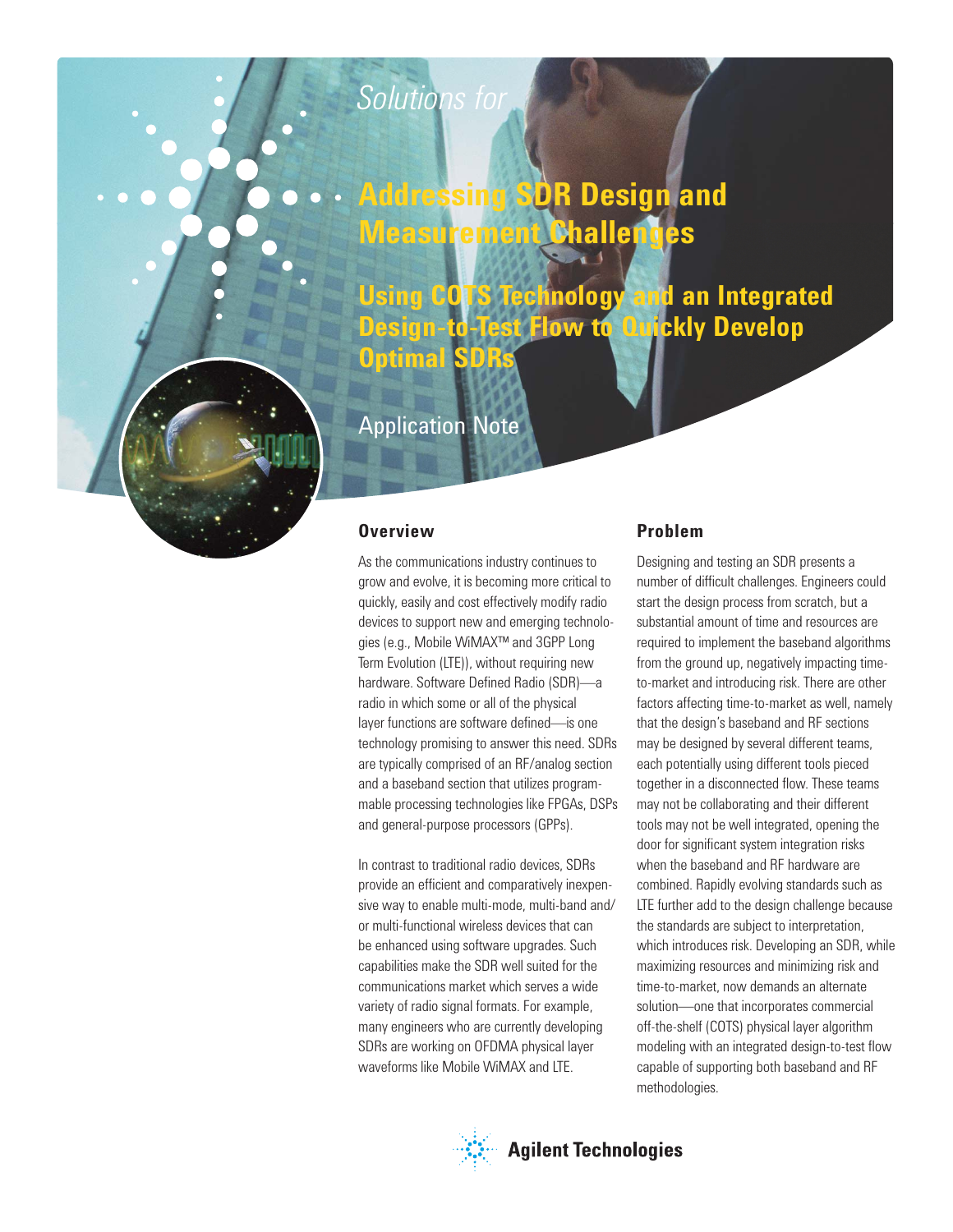# *Solutions for*

# **Addressing SDR Design and Measurement Challenges**

**Using COTS Technology and an Integrated Design-to-Test Flow to Quickly Develop Optimal SDR** 

# Application Note

#### **Overview**

As the communications industry continues to grow and evolve, it is becoming more critical to quickly, easily and cost effectively modify radio devices to support new and emerging technologies (e.g., Mobile WiMAX<sup>™</sup> and 3GPP Long Term Evolution (LTE)), without requiring new hardware. Software Defined Radio (SDR)-a radio in which some or all of the physical layer functions are software defined- is one technology promising to answer this need. SDRs are typically comprised of an RF/analog section and a baseband section that utilizes programmable processing technologies like FPGAs, DSPs and general-purpose processors (GPPs).

In contrast to traditional radio devices, SDRs provide an efficient and comparatively inexpensive way to enable multi-mode, multi-band and/ or multi-functional wireless devices that can be enhanced using software upgrades. Such capabilities make the SDR well suited for the communications market which serves a wide variety of radio signal formats. For example, many engineers who are currently developing SDRs are working on OFDMA physical layer waveforms like Mobile WiMAX and LTE.

#### **Problem**

Designing and testing an SDR presents a number of difficult challenges. Engineers could start the design process from scratch, but a substantial amount of time and resources are required to implement the baseband algorithms from the ground up, negatively impacting timeto-market and introducing risk. There are other factors affecting time-to-market as well, namely that the design's baseband and RF sections may be designed by several different teams, each potentially using different tools pieced together in a disconnected flow. These teams may not be collaborating and their different tools may not be well integrated, opening the door for significant system integration risks when the baseband and RF hardware are combined. Rapidly evolving standards such as LTE further add to the design challenge because the standards are subject to interpretation, which introduces risk. Developing an SDR, while maximizing resources and minimizing risk and time-to-market, now demands an alternate solution—one that incorporates commercial off-the-shelf (COTS) physical layer algorithm modeling with an integrated design-to-test flow capable of supporting both baseband and RF methodologies.

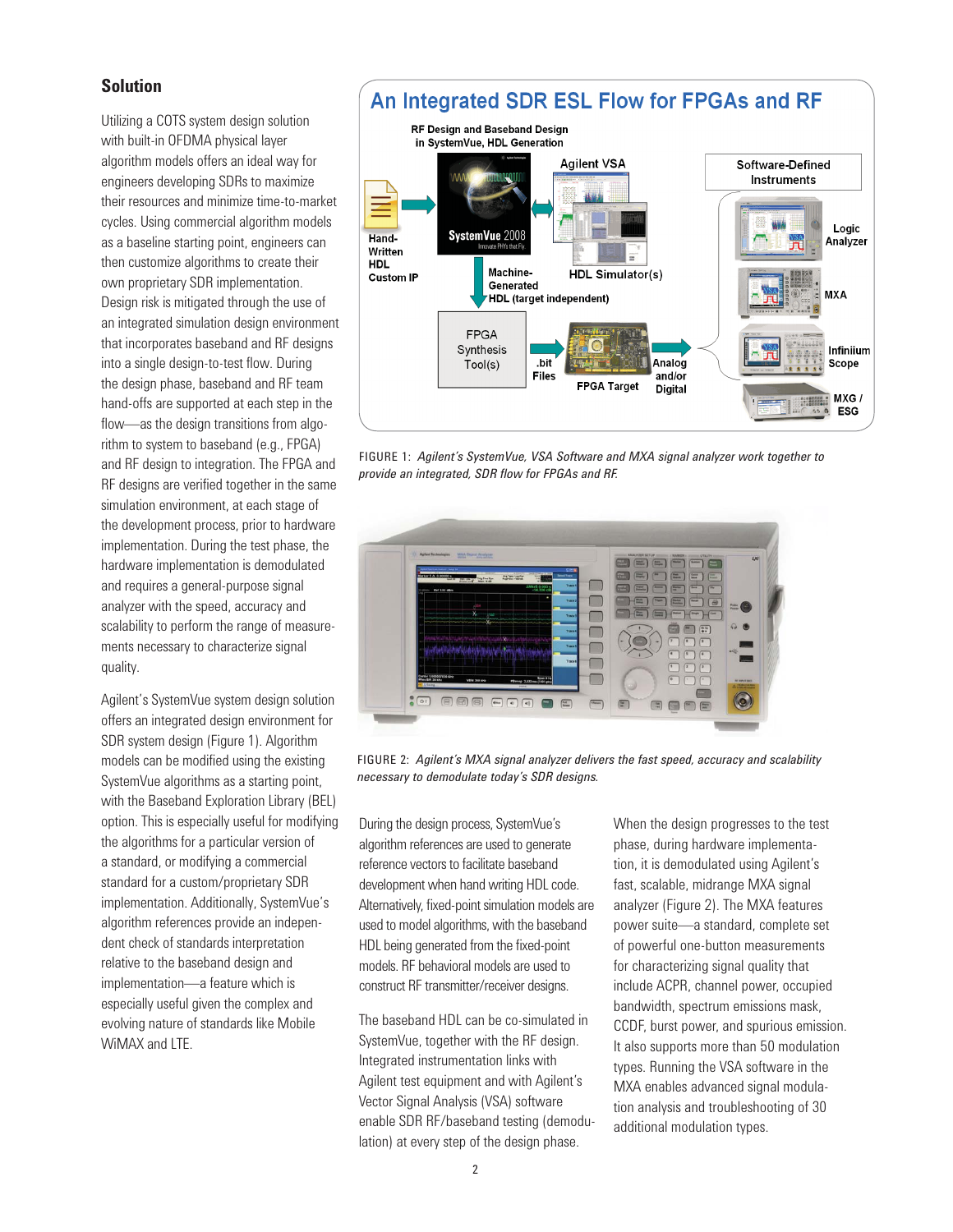#### **Solution**

Utilizing a COTS system design solution with built-in OFDMA physical layer algorithm models offers an ideal way for engineers developing SDRs to maximize their resources and minimize time-to-market cycles. Using commercial algorithm models as a baseline starting point, engineers can then customize algorithms to create their own proprietary SDR implementation. Design risk is mitigated through the use of an integrated simulation design environment that incorporates baseband and RF designs into a single design-to-test flow. During the design phase, baseband and RF team hand-offs are supported at each step in the flow—as the design transitions from algorithm to system to baseband (e.g., FPGA) and RF design to integration. The FPGA and RF designs are verified together in the same simulation environment, at each stage of the development process, prior to hardware implementation. During the test phase, the hardware implementation is demodulated and requires a general-purpose signal analyzer with the speed, accuracy and scalability to perform the range of measurements necessary to characterize signal quality.

Agilent's SystemVue system design solution offers an integrated design environment for SDR system design (Figure 1). Algorithm models can be modified using the existing SystemVue algorithms as a starting point, with the Baseband Exploration Library (BEL) option. This is especially useful for modifying the algorithms for a particular version of a standard, or modifying a commercial standard for a custom/proprietary SDR implementation. Additionally, SystemVue's algorithm references provide an independent check of standards interpretation relative to the baseband design and implementation—a feature which is especially useful given the complex and evolving nature of standards like Mobile WiMAX and LTE.



and/or

**Digital** 

MXG/ **ESG** 

FIGURE 1: *Agilent's SystemVue, VSA Software and MXA signal analyzer work together to provide an integrated, SDR flow for FPGAs and RF.* 

FPGA Target

Files



FIGURE 2: *Agilent's MXA signal analyzer delivers the fast speed, accuracy and scalability necessary to demodulate today's SDR designs.*

During the design process, SystemVue's algorithm references are used to generate reference vectors to facilitate baseband development when hand writing HDL code. Alternatively, fixed-point simulation models are used to model algorithms, with the baseband HDL being generated from the fixed-point models. RF behavioral models are used to construct RF transmitter/receiver designs.

The baseband HDL can be co-simulated in SystemVue, together with the RF design. Integrated instrumentation links with Agilent test equipment and with Agilent's Vector Signal Analysis (VSA) software enable SDR RF/baseband testing (demodulation) at every step of the design phase.

When the design progresses to the test phase, during hardware implementation, it is demodulated using Agilent's fast, scalable, midrange MXA signal analyzer (Figure 2). The MXA features power suite—a standard, complete set of powerful one-button measurements for characterizing signal quality that include ACPR, channel power, occupied bandwidth, spectrum emissions mask, CCDF, burst power, and spurious emission. It also supports more than 50 modulation types. Running the VSA software in the MXA enables advanced signal modulation analysis and troubleshooting of 30 additional modulation types.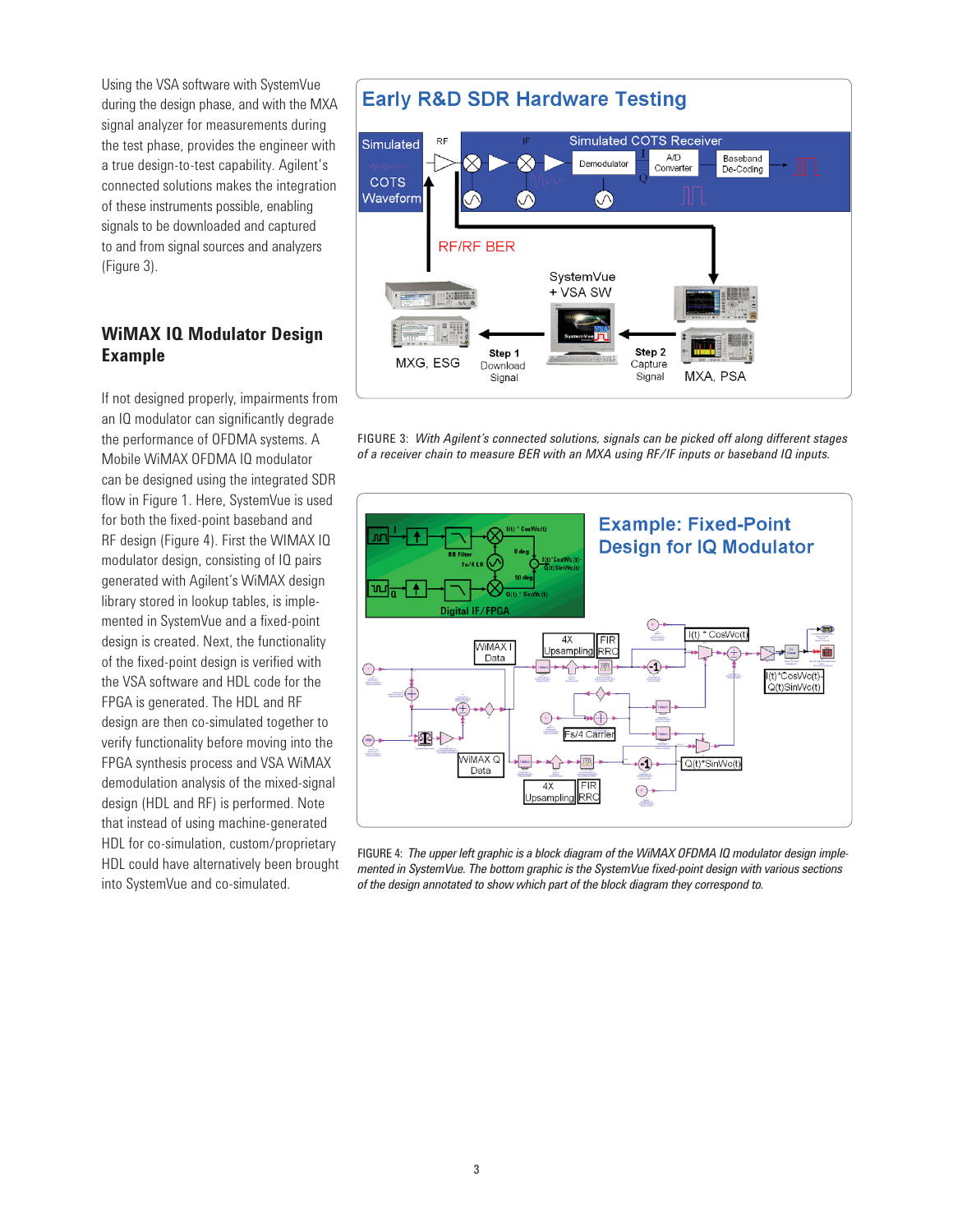Using the VSA software with SystemVue during the design phase, and with the MXA signal analyzer for measurements during the test phase, provides the engineer with a true design-to-test capability. Agilent's connected solutions makes the integration of these instruments possible, enabling signals to be downloaded and captured to and from signal sources and analyzers (Figure 3).

### **WiMAX IQ Modulator Design Example**

If not designed properly, impairments from an IQ modulator can significantly degrade the performance of OFDMA systems. A Mobile WiMAX OFDMA IQ modulator can be designed using the integrated SDR flow in Figure 1. Here, SystemVue is used for both the fixed-point baseband and RF design (Figure 4). First the WIMAX IQ modulator design, consisting of IQ pairs generated with Agilent's WiMAX design library stored in lookup tables, is implemented in SystemVue and a fixed-point design is created. Next, the functionality of the fixed-point design is verified with the VSA software and HDL code for the FPGA is generated. The HDL and RF design are then co-simulated together to verify functionality before moving into the FPGA synthesis process and VSA WiMAX demodulation analysis of the mixed-signal design (HDL and RF) is performed. Note that instead of using machine-generated HDL for co-simulation, custom/proprietary HDL could have alternatively been brought into SystemVue and co-simulated.

# **Early R&D SDR Hardware Testing**



FIGURE 3: *With Agilent's connected solutions, signals can be picked off along different stages of a receiver chain to measure BER with an MXA using RF/IF inputs or baseband IQ inputs.*



FIGURE 4: *The upper left graphic is a block diagram of the WiMAX OFDMA IQ modulator design implemented in SystemVue. The bottom graphic is the SystemVue fixed-point design with various sections of the design annotated to show which part of the block diagram they correspond to.*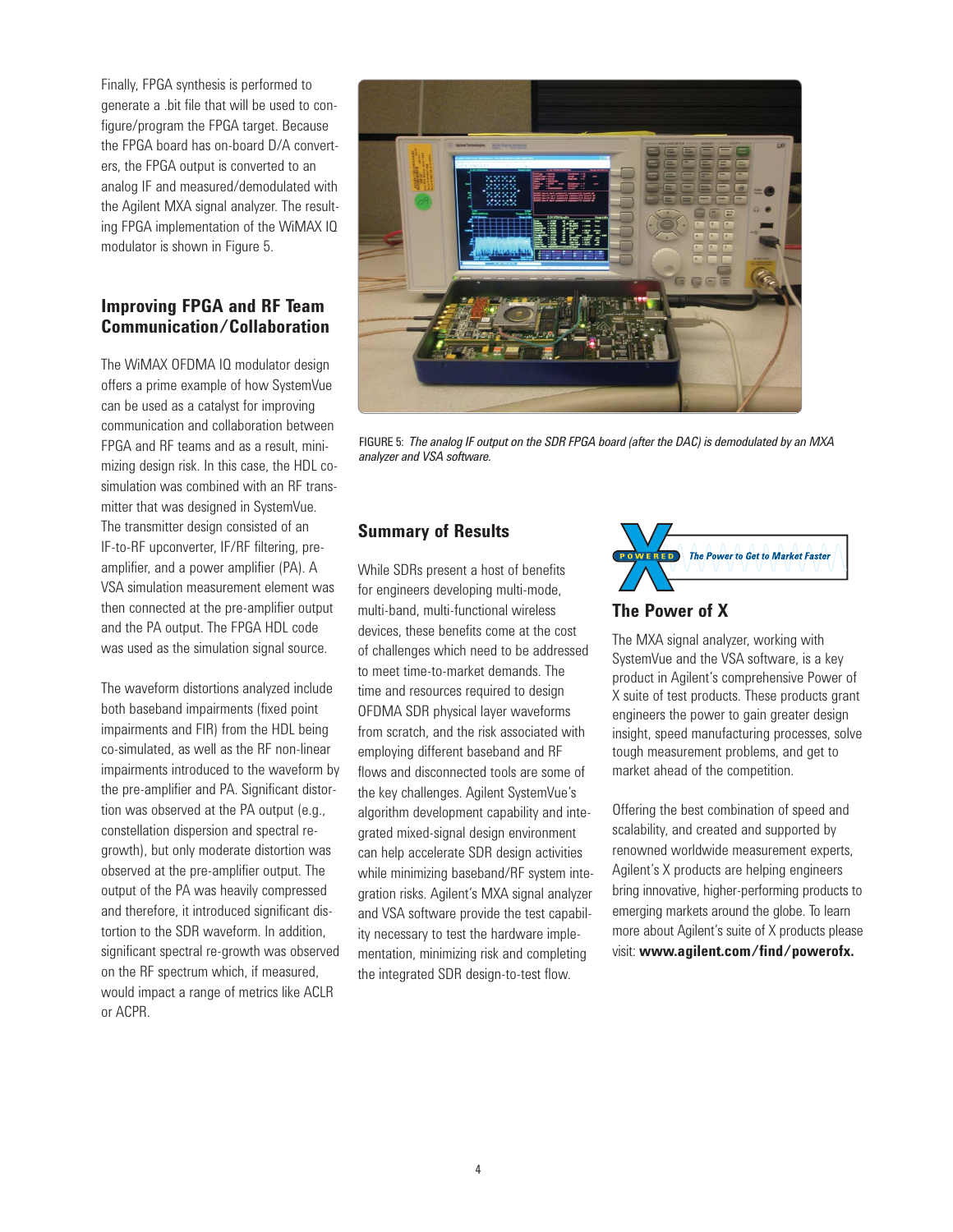Finally, FPGA synthesis is performed to generate a .bit file that will be used to configure/program the FPGA target. Because the FPGA board has on-board D/A converters, the FPGA output is converted to an analog IF and measured/demodulated with the Agilent MXA signal analyzer. The resulting FPGA implementation of the WiMAX IQ modulator is shown in Figure 5.

#### **Improving FPGA and RF Team Communication/Collaboration**

The WiMAX OFDMA IQ modulator design offers a prime example of how SystemVue can be used as a catalyst for improving communication and collaboration between FPGA and RF teams and as a result, minimizing design risk. In this case, the HDL cosimulation was combined with an RF transmitter that was designed in SystemVue. The transmitter design consisted of an IF-to-RF upconverter, IF/RF filtering, preamplifier, and a power amplifier (PA). A VSA simulation measurement element was then connected at the pre-amplifier output and the PA output. The FPGA HDL code was used as the simulation signal source.

The waveform distortions analyzed include both baseband impairments (fixed point impairments and FIR) from the HDL being co-simulated, as well as the RF non-linear impairments introduced to the waveform by the pre-amplifier and PA. Significant distortion was observed at the PA output (e.g., constellation dispersion and spectral regrowth), but only moderate distortion was observed at the pre-amplifier output. The output of the PA was heavily compressed and therefore, it introduced significant distortion to the SDR waveform. In addition, significant spectral re-growth was observed on the RF spectrum which, if measured, would impact a range of metrics like ACLR or ACPR.



FIGURE 5: *The analog IF output on the SDR FPGA board (after the DAC) is demodulated by an MXA analyzer and VSA software.*

#### **Summary of Results**

While SDRs present a host of benefits for engineers developing multi-mode, multi-band, multi-functional wireless devices, these benefits come at the cost of challenges which need to be addressed to meet time-to-market demands. The time and resources required to design OFDMA SDR physical layer waveforms from scratch, and the risk associated with employing different baseband and RF flows and disconnected tools are some of the key challenges. Agilent SystemVue's algorithm development capability and integrated mixed-signal design environment can help accelerate SDR design activities while minimizing baseband/RF system integration risks. Agilent's MXA signal analyzer and VSA software provide the test capability necessary to test the hardware implementation, minimizing risk and completing the integrated SDR design-to-test flow.



### **The Power of X**

The MXA signal analyzer, working with SystemVue and the VSA software, is a key product in Agilent's comprehensive Power of X suite of test products. These products grant engineers the power to gain greater design insight, speed manufacturing processes, solve tough measurement problems, and get to market ahead of the competition.

Offering the best combination of speed and scalability, and created and supported by renowned worldwide measurement experts, Agilent's X products are helping engineers bring innovative, higher-performing products to emerging markets around the globe. To learn more about Agilent's suite of X products please visit: **www.agilent.com/find/powerofx.**